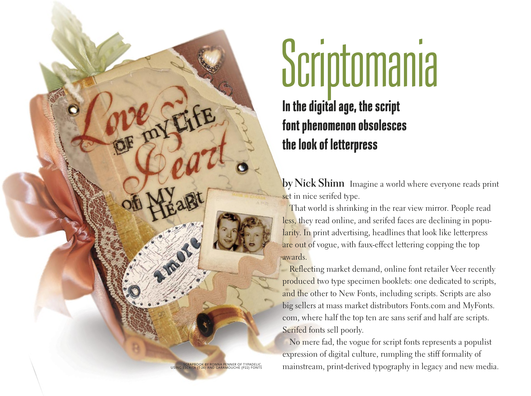# **In the digital age, the script font phenomenon obsolesces the look of letterpress** Scriptomania

by Nick Shinn Imagine a world where everyone reads print set in nice serifed type.

That world is shrinking in the rear view mirror. People read less, they read online, and serifed faces are declining in popularity. In print advertising, headlines that look like letterpress are out of vogue, with faux-effect lettering copping the top awards.

Reflecting market demand, online font retailer Veer recently produced two type specimen booklets: one dedicated to scripts, and the other to New Fonts, including scripts. Scripts are also big sellers at mass market distributors Fonts.com and MyFonts. com, where half the top ten are sans serif and half are scripts. Serifed fonts sell poorly.

No mere fad, the vogue for script fonts represents a populist expression of digital culture, rumpling the stiff formality of mainstream, print-derived typography in legacy and new media.

SCRAPBOOK BY RONNA PENNER OF TYPADELIC, USING ESCRITA (T-26) AND GARAMOUCHE (P22) FONTS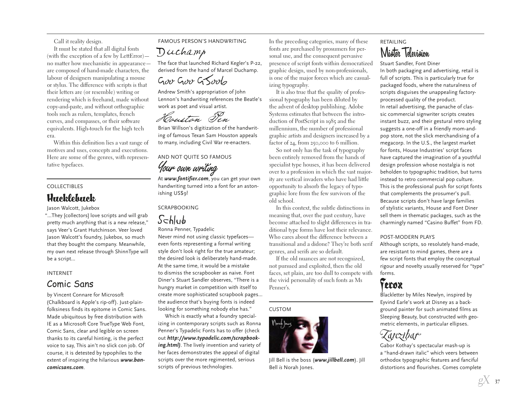Call it reality design.

It must be stated that all digital fonts (with the exception of a few by LettError) no matter how mechanistic in appearance are composed of hand-made characters, the labour of designers manipulating a mouse or stylus. The difference with scripts is that their letters are (or resemble) writing or rendering which is freehand, made without copy-and-paste, and without orthographic tools such as rulers, templates, french curves, and compasses, or their software equivalents. High-touch for the high tech era.

Within this definition lies a vast range of motives and uses, concepts and executions. Here are some of the genres, with representative typefaces.

## COLLECTIBLES

# **Hucklebuck**

Jason Walcott, Jukebox

"...They [collectors] love scripts and will grab pretty much anything that is a new release," says Veer's Grant Hutchinson. Veer loved Jason Walcott's foundry, Jukebox, so much that they bought the company. Meanwhile, my own next release through ShinnType will be a script…

#### INTERNET

# Comic Sans

by Vincent Connare for Microsoft (Chalkboard is Apple's rip-off). Just-plainfolksiness finds its epitome in Comic Sans. Made ubiquitous by free distribution with IE as a Microsoft Core TrueType Web Font, Comic Sans, clear and legible on screen thanks to its careful hinting, is the perfect voice to say, This ain't no slick con job. Of course, it is detested by typophiles to the extent of inspiring the hilarious *www.bancomicsans.com*.

## FAMOUS PERSON'S HANDWRITING

Duchamp

The face that launched Richard Kegler's P-22, derived from the hand of Marcel Duchamp.

Good Groots

Andrew Smith's appropriation of John Lennon's handwriting references the Beatle's work as poet and visual artist.

Houston Ten

Brian Willson's digitization of the handwriting of famous Texan Sam Houston appeals to many, including Civil War re-enacters.

AND NOT QUITE SO FAMOUS

your *burn writing*<br>At *www.fontifier.com*, you can get your own<br>handwriting turned into a font for an actor. handwriting turned into a font for an astonishing US\$9!

#### **SCRAPBOOKING**

# Schlub Ronna Penner, Typadelic

Never mind not using classic typefaces even fonts representing a formal writing style don't look right for the true amateur; the desired look is deliberately hand-made. At the same time, it would be a mistake to dismiss the scrapbooker as naive. Font Diner's Stuart Sandler observes, "There is a hungry market in competition with itself to create more sophisticated scrapbook pages… the audience that's buying fonts is indeed looking for something nobody else has."

Which is exactly what a foundry specializing in contemporary scripts such as Ronna Penner's Typadelic Fonts has to offer (check out *http://www.typadelic.com/scrapbooking.html)*. The lively invention and variety of her faces demonstrates the appeal of digital scripts over the more regimented, serious scripts of previous technologies.

In the preceding categories, many of these fonts are purchased by prosumers for personal use, and the consequent pervasive presence of script fonts within democratized graphic design, used by non-professionals, is one of the major forces which are casualizing typography.

It is also true that the quality of professional typography has been diluted by the advent of desktop publishing. Adobe Systems estimates that between the introduction of PostScript in 1985 and the millennium, the number of professional graphic artists and designers increased by a factor of 24, from 250,000 to 6 million.

So not only has the task of typography been entirely removed from the hands of specialist type houses, it has been delivered over to a profession in which the vast majority are vertical invaders who have had little opportunity to absorb the legacy of typographic lore from the few survivors of the old school.

In this context, the subtle distinctions in meaning that, over the past century, have become attached to slight differences in traditional type forms have lost their relevance. Who cares about the difference between a transitional and a didone? They're both serif genres, and serifs are so default.

If the old nuances are not recognized, not pursued and exploited, then the old faces, set plain, are too dull to compete with the vivid personality of such fonts as Ms Penner's.

#### CUSTOM



Jill Bell is the boss (*www.jillbell.com*). Jill Bell *is* Norah Jones.

# RETAILING Mister Television

Stuart Sandler, Font Diner In both packaging and advertising, retail is full of scripts. This is particularly true for packaged foods, where the naturalness of scripts disguises the unappealing factoryprocessed quality of the product. In retail advertising, the panache of classic commercial signwriter scripts creates instant buzz, and their gestural retro styling suggests a one-off in a friendly mom-andpop store, not the slick merchandising of a megacorp. In the U.S., the largest market for fonts, House Industries' script faces have captured the imagination of a youthful design profession whose nostalgia is not beholden to typographic tradition, but turns instead to retro commercial pop culture. This is the professional push for script fonts that complements the prosumer's pull. Because scripts don't have large families of stylistic variants, House and Font Diner sell them in thematic packages, such as the charmingly named "Casino Buffet" from FD.

#### POST-MODERN PLAYS

Although scripts, so resolutely hand-made, are resistant to mind games, there are a few script fonts that employ the conceptual rigour and novelty usually reserved for "type" forms.

# Ferox

Blackletter by Miles Newlyn, inspired by Eyvind Earle's work at Disney as a background painter for such animated films as Sleeping Beauty, but constructed with geometric elements, in particular ellipses.



Gabor Kothay's spectacular mash-up is a "hand-drawn italic" which veers between orthodox typographic features and fanciful distortions and flourishes. Comes complete